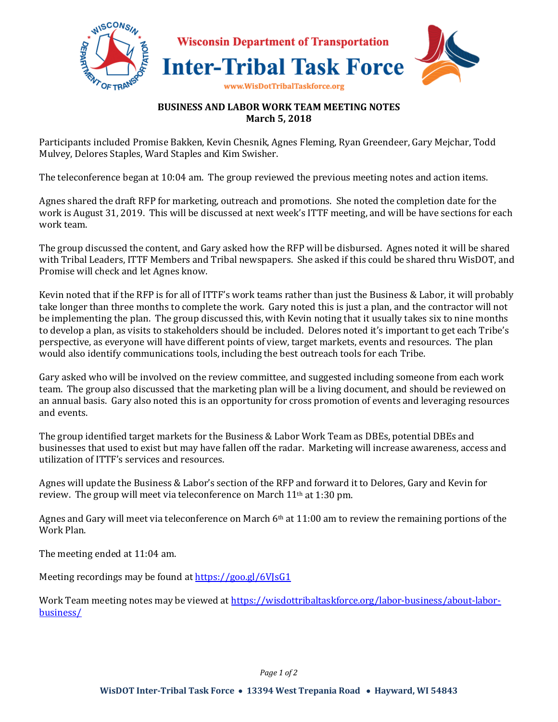

## **BUSINESS AND LABOR WORK TEAM MEETING NOTES March 5, 2018**

Participants included Promise Bakken, Kevin Chesnik, Agnes Fleming, Ryan Greendeer, Gary Mejchar, Todd Mulvey, Delores Staples, Ward Staples and Kim Swisher.

The teleconference began at 10:04 am. The group reviewed the previous meeting notes and action items.

Agnes shared the draft RFP for marketing, outreach and promotions. She noted the completion date for the work is August 31, 2019. This will be discussed at next week's ITTF meeting, and will be have sections for each work team.

The group discussed the content, and Gary asked how the RFP will be disbursed. Agnes noted it will be shared with Tribal Leaders, ITTF Members and Tribal newspapers. She asked if this could be shared thru WisDOT, and Promise will check and let Agnes know.

Kevin noted that if the RFP is for all of ITTF's work teams rather than just the Business & Labor, it will probably take longer than three months to complete the work. Gary noted this is just a plan, and the contractor will not be implementing the plan. The group discussed this, with Kevin noting that it usually takes six to nine months to develop a plan, as visits to stakeholders should be included. Delores noted it's important to get each Tribe's perspective, as everyone will have different points of view, target markets, events and resources. The plan would also identify communications tools, including the best outreach tools for each Tribe.

Gary asked who will be involved on the review committee, and suggested including someone from each work team. The group also discussed that the marketing plan will be a living document, and should be reviewed on an annual basis. Gary also noted this is an opportunity for cross promotion of events and leveraging resources and events.

The group identified target markets for the Business & Labor Work Team as DBEs, potential DBEs and businesses that used to exist but may have fallen off the radar. Marketing will increase awareness, access and utilization of ITTF's services and resources.

Agnes will update the Business & Labor's section of the RFP and forward it to Delores, Gary and Kevin for review. The group will meet via teleconference on March 11th at 1:30 pm.

Agnes and Gary will meet via teleconference on March  $6<sup>th</sup>$  at 11:00 am to review the remaining portions of the Work Plan.

The meeting ended at 11:04 am.

Meeting recordings may be found at https://goo.gl/6VJsG1

Work Team meeting notes may be viewed at https://wisdottribaltaskforce.org/labor-business/about-laborbusiness/

*Page 1 of 2*